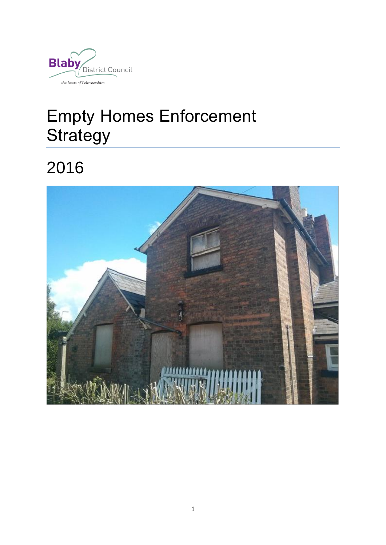

# Empty Homes Enforcement **Strategy**

2016

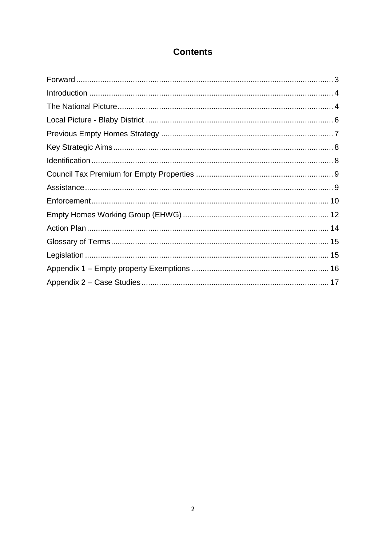# **Contents**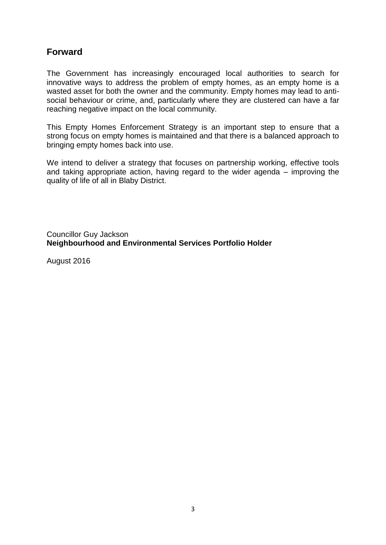# <span id="page-2-0"></span>**Forward**

The Government has increasingly encouraged local authorities to search for innovative ways to address the problem of empty homes, as an empty home is a wasted asset for both the owner and the community. Empty homes may lead to antisocial behaviour or crime, and, particularly where they are clustered can have a far reaching negative impact on the local community.

This Empty Homes Enforcement Strategy is an important step to ensure that a strong focus on empty homes is maintained and that there is a balanced approach to bringing empty homes back into use.

We intend to deliver a strategy that focuses on partnership working, effective tools and taking appropriate action, having regard to the wider agenda – improving the quality of life of all in Blaby District.

Councillor Guy Jackson **Neighbourhood and Environmental Services Portfolio Holder**

August 2016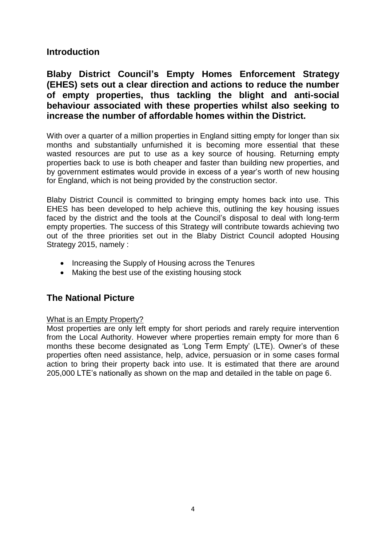## <span id="page-3-0"></span>**Introduction**

**Blaby District Council's Empty Homes Enforcement Strategy (EHES) sets out a clear direction and actions to reduce the number of empty properties, thus tackling the blight and anti-social behaviour associated with these properties whilst also seeking to increase the number of affordable homes within the District.**

With over a quarter of a million properties in England sitting empty for longer than six months and substantially unfurnished it is becoming more essential that these wasted resources are put to use as a key source of housing. Returning empty properties back to use is both cheaper and faster than building new properties, and by government estimates would provide in excess of a year's worth of new housing for England, which is not being provided by the construction sector.

Blaby District Council is committed to bringing empty homes back into use. This EHES has been developed to help achieve this, outlining the key housing issues faced by the district and the tools at the Council's disposal to deal with long-term empty properties. The success of this Strategy will contribute towards achieving two out of the three priorities set out in the Blaby District Council adopted Housing Strategy 2015, namely :

- Increasing the Supply of Housing across the Tenures
- Making the best use of the existing housing stock

## <span id="page-3-1"></span>**The National Picture**

## What is an Empty Property?

Most properties are only left empty for short periods and rarely require intervention from the Local Authority. However where properties remain empty for more than 6 months these become designated as 'Long Term Empty' (LTE). Owner's of these properties often need assistance, help, advice, persuasion or in some cases formal action to bring their property back into use. It is estimated that there are around 205,000 LTE's nationally as shown on the map and detailed in the table on page 6.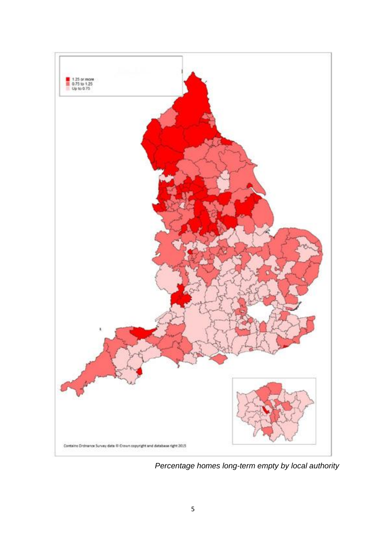

*Percentage homes long-term empty by local authority*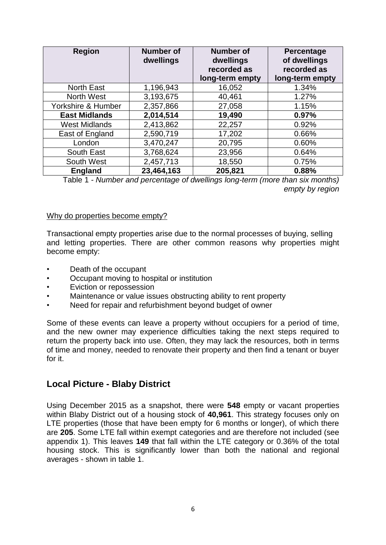| <b>Region</b>        | <b>Number of</b><br>dwellings | <b>Number of</b><br>dwellings<br>recorded as<br>long-term empty | <b>Percentage</b><br>of dwellings<br>recorded as<br>long-term empty |
|----------------------|-------------------------------|-----------------------------------------------------------------|---------------------------------------------------------------------|
| <b>North East</b>    | 1,196,943                     | 16,052                                                          | 1.34%                                                               |
| <b>North West</b>    | 3,193,675                     | 40,461                                                          | 1.27%                                                               |
| Yorkshire & Humber   | 2,357,866                     | 27,058                                                          | 1.15%                                                               |
| <b>East Midlands</b> | 2,014,514                     | 19,490                                                          | 0.97%                                                               |
| <b>West Midlands</b> | 2,413,862                     | 22,257                                                          | 0.92%                                                               |
| East of England      | 2,590,719                     | 17,202                                                          | 0.66%                                                               |
| London               | 3,470,247                     | 20,795                                                          | 0.60%                                                               |
| South East           | 3,768,624                     | 23,956                                                          | 0.64%                                                               |
| South West           | 2,457,713                     | 18,550                                                          | 0.75%                                                               |
| <b>England</b>       | 23,464,163                    | 205,821                                                         | 0.88%                                                               |

Table 1 *- Number and percentage of dwellings long-term (more than six months) empty by region*

#### Why do properties become empty?

Transactional empty properties arise due to the normal processes of buying, selling and letting properties. There are other common reasons why properties might become empty:

- Death of the occupant
- Occupant moving to hospital or institution
- Eviction or repossession
- Maintenance or value issues obstructing ability to rent property
- Need for repair and refurbishment beyond budget of owner

Some of these events can leave a property without occupiers for a period of time, and the new owner may experience difficulties taking the next steps required to return the property back into use. Often, they may lack the resources, both in terms of time and money, needed to renovate their property and then find a tenant or buyer for it.

## <span id="page-5-0"></span>**Local Picture - Blaby District**

Using December 2015 as a snapshot, there were **548** empty or vacant properties within Blaby District out of a housing stock of **40,961**. This strategy focuses only on LTE properties (those that have been empty for 6 months or longer), of which there are **205**. Some LTE fall within exempt categories and are therefore not included (see appendix 1). This leaves **149** that fall within the LTE category or 0.36% of the total housing stock. This is significantly lower than both the national and regional averages - shown in table 1.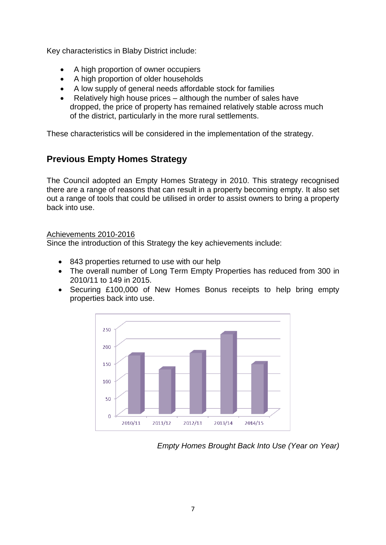Key characteristics in Blaby District include:

- A high proportion of owner occupiers
- A high proportion of older households
- A low supply of general needs affordable stock for families
- Relatively high house prices although the number of sales have dropped, the price of property has remained relatively stable across much of the district, particularly in the more rural settlements.

<span id="page-6-0"></span>These characteristics will be considered in the implementation of the strategy.

# **Previous Empty Homes Strategy**

The Council adopted an Empty Homes Strategy in 2010. This strategy recognised there are a range of reasons that can result in a property becoming empty. It also set out a range of tools that could be utilised in order to assist owners to bring a property back into use.

## Achievements 2010-2016

Since the introduction of this Strategy the key achievements include:

- 843 properties returned to use with our help
- The overall number of Long Term Empty Properties has reduced from 300 in 2010/11 to 149 in 2015.
- Securing £100,000 of New Homes Bonus receipts to help bring empty properties back into use.



*Empty Homes Brought Back Into Use (Year on Year)*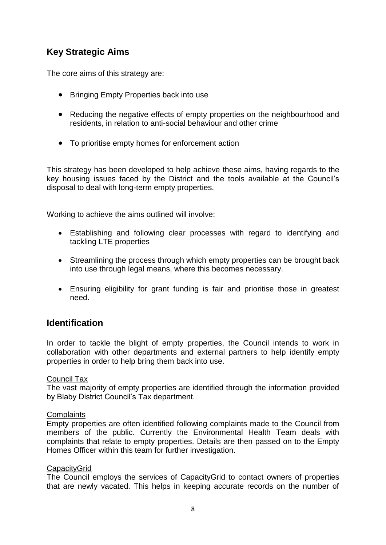# <span id="page-7-0"></span>**Key Strategic Aims**

The core aims of this strategy are:

- Bringing Empty Properties back into use
- Reducing the negative effects of empty properties on the neighbourhood and residents, in relation to anti-social behaviour and other crime
- To prioritise empty homes for enforcement action

This strategy has been developed to help achieve these aims, having regards to the key housing issues faced by the District and the tools available at the Council's disposal to deal with long-term empty properties.

Working to achieve the aims outlined will involve:

- Establishing and following clear processes with regard to identifying and tackling LTE properties
- Streamlining the process through which empty properties can be brought back into use through legal means, where this becomes necessary.
- Ensuring eligibility for grant funding is fair and prioritise those in greatest need.

## <span id="page-7-1"></span>**Identification**

In order to tackle the blight of empty properties, the Council intends to work in collaboration with other departments and external partners to help identify empty properties in order to help bring them back into use.

## Council Tax

The vast majority of empty properties are identified through the information provided by Blaby District Council's Tax department.

## **Complaints**

Empty properties are often identified following complaints made to the Council from members of the public. Currently the Environmental Health Team deals with complaints that relate to empty properties. Details are then passed on to the Empty Homes Officer within this team for further investigation.

## **CapacityGrid**

The Council employs the services of CapacityGrid to contact owners of properties that are newly vacated. This helps in keeping accurate records on the number of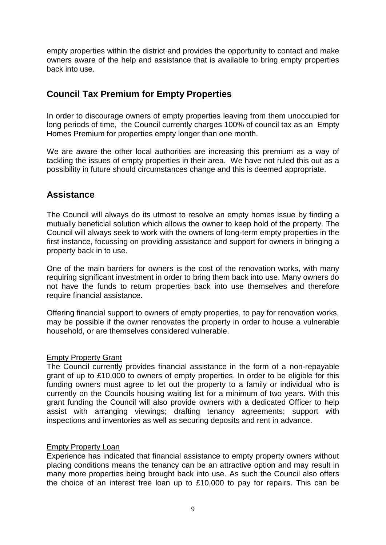empty properties within the district and provides the opportunity to contact and make owners aware of the help and assistance that is available to bring empty properties back into use.

# <span id="page-8-0"></span>**Council Tax Premium for Empty Properties**

In order to discourage owners of empty properties leaving from them unoccupied for long periods of time, the Council currently charges 100% of council tax as an Empty Homes Premium for properties empty longer than one month.

We are aware the other local authorities are increasing this premium as a way of tackling the issues of empty properties in their area. We have not ruled this out as a possibility in future should circumstances change and this is deemed appropriate.

## <span id="page-8-1"></span>**Assistance**

The Council will always do its utmost to resolve an empty homes issue by finding a mutually beneficial solution which allows the owner to keep hold of the property. The Council will always seek to work with the owners of long-term empty properties in the first instance, focussing on providing assistance and support for owners in bringing a property back in to use.

One of the main barriers for owners is the cost of the renovation works, with many requiring significant investment in order to bring them back into use. Many owners do not have the funds to return properties back into use themselves and therefore require financial assistance.

Offering financial support to owners of empty properties, to pay for renovation works, may be possible if the owner renovates the property in order to house a vulnerable household, or are themselves considered vulnerable.

## Empty Property Grant

The Council currently provides financial assistance in the form of a non-repayable grant of up to £10,000 to owners of empty properties. In order to be eligible for this funding owners must agree to let out the property to a family or individual who is currently on the Councils housing waiting list for a minimum of two years. With this grant funding the Council will also provide owners with a dedicated Officer to help assist with arranging viewings; drafting tenancy agreements; support with inspections and inventories as well as securing deposits and rent in advance.

## Empty Property Loan

Experience has indicated that financial assistance to empty property owners without placing conditions means the tenancy can be an attractive option and may result in many more properties being brought back into use. As such the Council also offers the choice of an interest free loan up to £10,000 to pay for repairs. This can be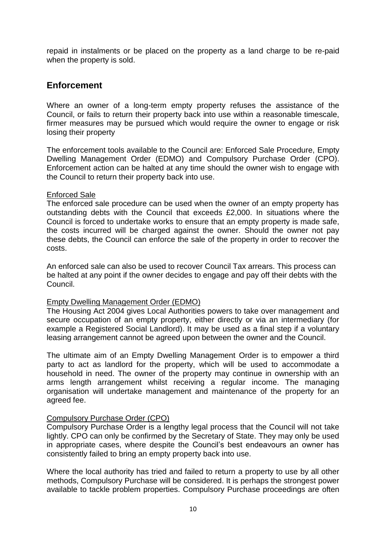repaid in instalments or be placed on the property as a land charge to be re-paid when the property is sold.

## <span id="page-9-0"></span>**Enforcement**

Where an owner of a long-term empty property refuses the assistance of the Council, or fails to return their property back into use within a reasonable timescale, firmer measures may be pursued which would require the owner to engage or risk losing their property

The enforcement tools available to the Council are: Enforced Sale Procedure, Empty Dwelling Management Order (EDMO) and Compulsory Purchase Order (CPO). Enforcement action can be halted at any time should the owner wish to engage with the Council to return their property back into use.

## Enforced Sale

The enforced sale procedure can be used when the owner of an empty property has outstanding debts with the Council that exceeds £2,000. In situations where the Council is forced to undertake works to ensure that an empty property is made safe, the costs incurred will be charged against the owner. Should the owner not pay these debts, the Council can enforce the sale of the property in order to recover the costs.

An enforced sale can also be used to recover Council Tax arrears. This process can be halted at any point if the owner decides to engage and pay off their debts with the Council.

## Empty Dwelling Management Order (EDMO)

The Housing Act 2004 gives Local Authorities powers to take over management and secure occupation of an empty property, either directly or via an intermediary (for example a Registered Social Landlord). It may be used as a final step if a voluntary leasing arrangement cannot be agreed upon between the owner and the Council.

The ultimate aim of an Empty Dwelling Management Order is to empower a third party to act as landlord for the property, which will be used to accommodate a household in need. The owner of the property may continue in ownership with an arms length arrangement whilst receiving a regular income. The managing organisation will undertake management and maintenance of the property for an agreed fee.

## Compulsory Purchase Order (CPO)

Compulsory Purchase Order is a lengthy legal process that the Council will not take lightly. CPO can only be confirmed by the Secretary of State. They may only be used in appropriate cases, where despite the Council's best endeavours an owner has consistently failed to bring an empty property back into use.

Where the local authority has tried and failed to return a property to use by all other methods, Compulsory Purchase will be considered. It is perhaps the strongest power available to tackle problem properties. Compulsory Purchase proceedings are often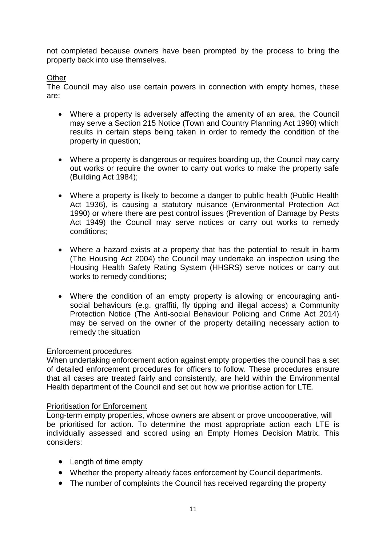not completed because owners have been prompted by the process to bring the property back into use themselves.

## **Other**

The Council may also use certain powers in connection with empty homes, these are:

- Where a property is adversely affecting the amenity of an area, the Council may serve a Section 215 Notice (Town and Country Planning Act 1990) which results in certain steps being taken in order to remedy the condition of the property in question;
- Where a property is dangerous or requires boarding up, the Council may carry out works or require the owner to carry out works to make the property safe (Building Act 1984);
- Where a property is likely to become a danger to public health (Public Health Act 1936), is causing a statutory nuisance (Environmental Protection Act 1990) or where there are pest control issues (Prevention of Damage by Pests Act 1949) the Council may serve notices or carry out works to remedy conditions;
- Where a hazard exists at a property that has the potential to result in harm (The Housing Act 2004) the Council may undertake an inspection using the Housing Health Safety Rating System (HHSRS) serve notices or carry out works to remedy conditions;
- Where the condition of an empty property is allowing or encouraging antisocial behaviours (e.g. graffiti, fly tipping and illegal access) a Community Protection Notice (The Anti-social Behaviour Policing and Crime Act 2014) may be served on the owner of the property detailing necessary action to remedy the situation

## Enforcement procedures

When undertaking enforcement action against empty properties the council has a set of detailed enforcement procedures for officers to follow. These procedures ensure that all cases are treated fairly and consistently, are held within the Environmental Health department of the Council and set out how we prioritise action for LTE.

## Prioritisation for Enforcement

Long-term empty properties, whose owners are absent or prove uncooperative, will be prioritised for action. To determine the most appropriate action each LTE is individually assessed and scored using an Empty Homes Decision Matrix. This considers:

- Length of time empty
- Whether the property already faces enforcement by Council departments.
- The number of complaints the Council has received regarding the property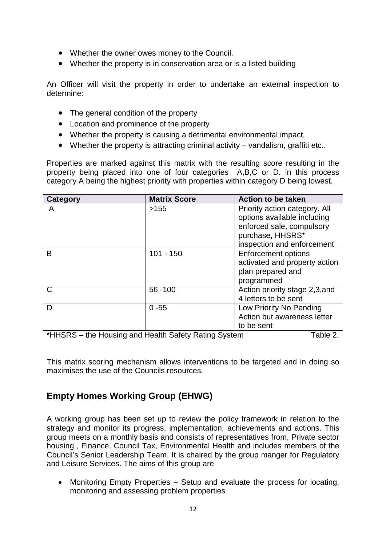- Whether the owner owes money to the Council.
- Whether the property is in conservation area or is a listed building

An Officer will visit the property in order to undertake an external inspection to determine:

- The general condition of the property
- Location and prominence of the property
- Whether the property is causing a detrimental environmental impact.
- Whether the property is attracting criminal activity vandalism, graffiti etc..

Properties are marked against this matrix with the resulting score resulting in the property being placed into one of four categories A,B,C or D. in this process category A being the highest priority with properties within category D being lowest.

| Category                                                                                   | <b>Matrix Score</b> | <b>Action to be taken</b>      |
|--------------------------------------------------------------------------------------------|---------------------|--------------------------------|
| A                                                                                          | >155                | Priority action category. All  |
|                                                                                            |                     | options available including    |
|                                                                                            |                     | enforced sale, compulsory      |
|                                                                                            |                     | purchase, HHSRS*               |
|                                                                                            |                     | inspection and enforcement     |
| B                                                                                          | $101 - 150$         | <b>Enforcement options</b>     |
|                                                                                            |                     | activated and property action  |
|                                                                                            |                     | plan prepared and              |
|                                                                                            |                     | programmed                     |
| $\mathsf{C}$                                                                               | 56 - 100            | Action priority stage 2,3, and |
|                                                                                            |                     | 4 letters to be sent           |
| D                                                                                          | $0 - 55$            | Low Priority No Pending        |
|                                                                                            |                     | Action but awareness letter    |
|                                                                                            |                     | to be sent                     |
| the Harrison and Haalth Cafety, Dating Cratego<br>$*$ $\blacksquare$<br>$T - L L - \Omega$ |                     |                                |

 $^{\prime}$ HHSRS – the Housing and Health Safety Rating System  $\hskip1cm$  Table 2.

This matrix scoring mechanism allows interventions to be targeted and in doing so maximises the use of the Councils resources.

# <span id="page-11-0"></span>**Empty Homes Working Group (EHWG)**

A working group has been set up to review the policy framework in relation to the strategy and monitor its progress, implementation, achievements and actions. This group meets on a monthly basis and consists of representatives from, Private sector housing , Finance, Council Tax, Environmental Health and includes members of the Council's Senior Leadership Team. It is chaired by the group manger for Regulatory and Leisure Services. The aims of this group are

• Monitoring Empty Properties – Setup and evaluate the process for locating, monitoring and assessing problem properties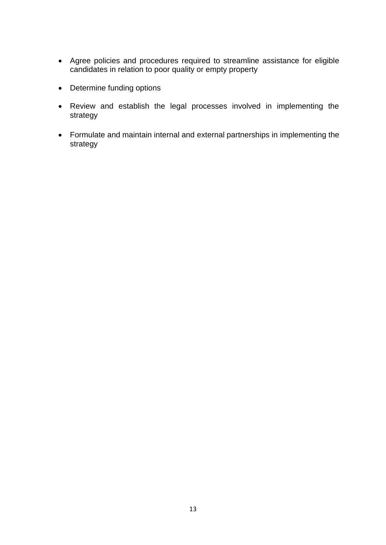- Agree policies and procedures required to streamline assistance for eligible candidates in relation to poor quality or empty property
- Determine funding options
- Review and establish the legal processes involved in implementing the strategy
- Formulate and maintain internal and external partnerships in implementing the strategy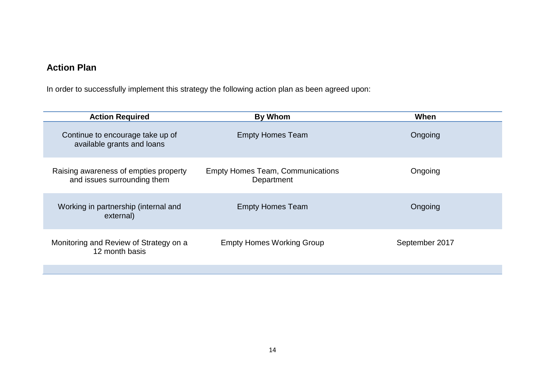# **Action Plan**

In order to successfully implement this strategy the following action plan as been agreed upon:

<span id="page-13-0"></span>

| <b>Action Required</b>                                               | <b>By Whom</b>                                        | When           |
|----------------------------------------------------------------------|-------------------------------------------------------|----------------|
| Continue to encourage take up of<br>available grants and loans       | <b>Empty Homes Team</b>                               | Ongoing        |
| Raising awareness of empties property<br>and issues surrounding them | <b>Empty Homes Team, Communications</b><br>Department | Ongoing        |
| Working in partnership (internal and<br>external)                    | <b>Empty Homes Team</b>                               | Ongoing        |
| Monitoring and Review of Strategy on a<br>12 month basis             | <b>Empty Homes Working Group</b>                      | September 2017 |
|                                                                      |                                                       |                |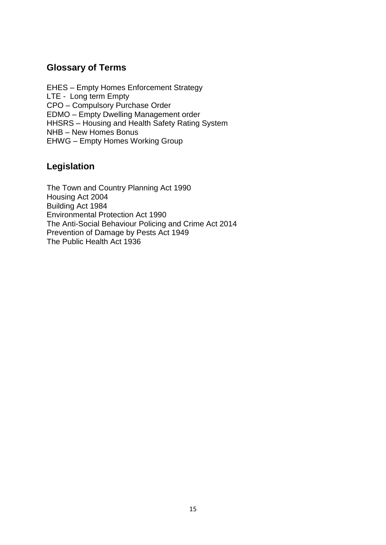## <span id="page-14-0"></span>**Glossary of Terms**

EHES – Empty Homes Enforcement Strategy LTE - Long term Empty CPO – Compulsory Purchase Order EDMO – Empty Dwelling Management order HHSRS – Housing and Health Safety Rating System NHB – New Homes Bonus EHWG – Empty Homes Working Group

# <span id="page-14-1"></span>**Legislation**

The Town and Country Planning Act 1990 Housing Act 2004 Building Act 1984 Environmental Protection Act 1990 The Anti-Social Behaviour Policing and Crime Act 2014 Prevention of Damage by Pests Act 1949 The Public Health Act 1936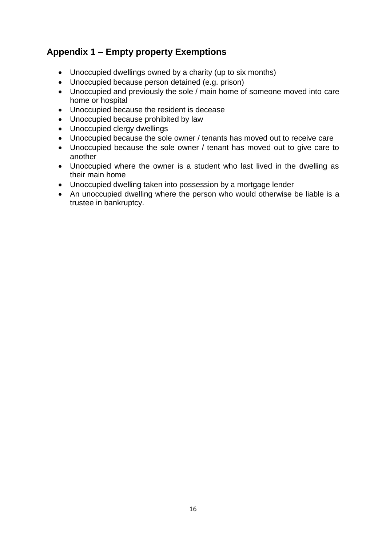# <span id="page-15-0"></span>**Appendix 1 – Empty property Exemptions**

- Unoccupied dwellings owned by a charity (up to six months)
- Unoccupied because person detained (e.g. prison)
- Unoccupied and previously the sole / main home of someone moved into care home or hospital
- Unoccupied because the resident is decease
- Unoccupied because prohibited by law
- Unoccupied clergy dwellings
- Unoccupied because the sole owner / tenants has moved out to receive care
- Unoccupied because the sole owner / tenant has moved out to give care to another
- Unoccupied where the owner is a student who last lived in the dwelling as their main home
- Unoccupied dwelling taken into possession by a mortgage lender
- An unoccupied dwelling where the person who would otherwise be liable is a trustee in bankruptcy.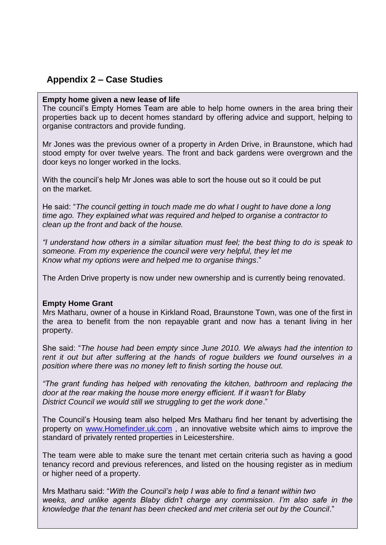# <span id="page-16-0"></span>**Appendix 2 – Case Studies**

#### **Empty home given a new lease of life**

The council's Empty Homes Team are able to help home owners in the area bring their properties back up to decent homes standard by offering advice and support, helping to organise contractors and provide funding.

Mr Jones was the previous owner of a property in Arden Drive, in Braunstone, which had stood empty for over twelve years. The front and back gardens were overgrown and the door keys no longer worked in the locks.

With the council's help Mr Jones was able to sort the house out so it could be put on the market.

He said: "*The council getting in touch made me do what I ought to have done a long time ago. They explained what was required and helped to organise a contractor to clean up the front and back of the house.*

*"I understand how others in a similar situation must feel; the best thing to do is speak to someone. From my experience the council were very helpful, they let me Know what my options were and helped me to organise things*."

The Arden Drive property is now under new ownership and is currently being renovated.

## **Empty Home Grant**

Mrs Matharu, owner of a house in Kirkland Road, Braunstone Town, was one of the first in the area to benefit from the non repayable grant and now has a tenant living in her property.

She said: "*The house had been empty since June 2010. We always had the intention to rent it out but after suffering at the hands of rogue builders we found ourselves in a position where there was no money left to finish sorting the house out.*

*"The grant funding has helped with renovating the kitchen, bathroom and replacing the door at the rear making the house more energy efficient. If it wasn't for Blaby District Council we would still we struggling to get the work done*."

The Council's Housing team also helped Mrs Matharu find her tenant by advertising the property on [www.Homefinder.uk.com](http://www.homefinder.uk.com/) , an innovative website which aims to improve the standard of privately rented properties in Leicestershire.

The team were able to make sure the tenant met certain criteria such as having a good tenancy record and previous references, and listed on the housing register as in medium or higher need of a property.

knowledge that the tenant has been checked and met criteria set out by the Council." Mrs Matharu said: "*With the Council's help I was able to find a tenant within two weeks, and unlike agents Blaby didn't charge any commission. I'm also safe in the*